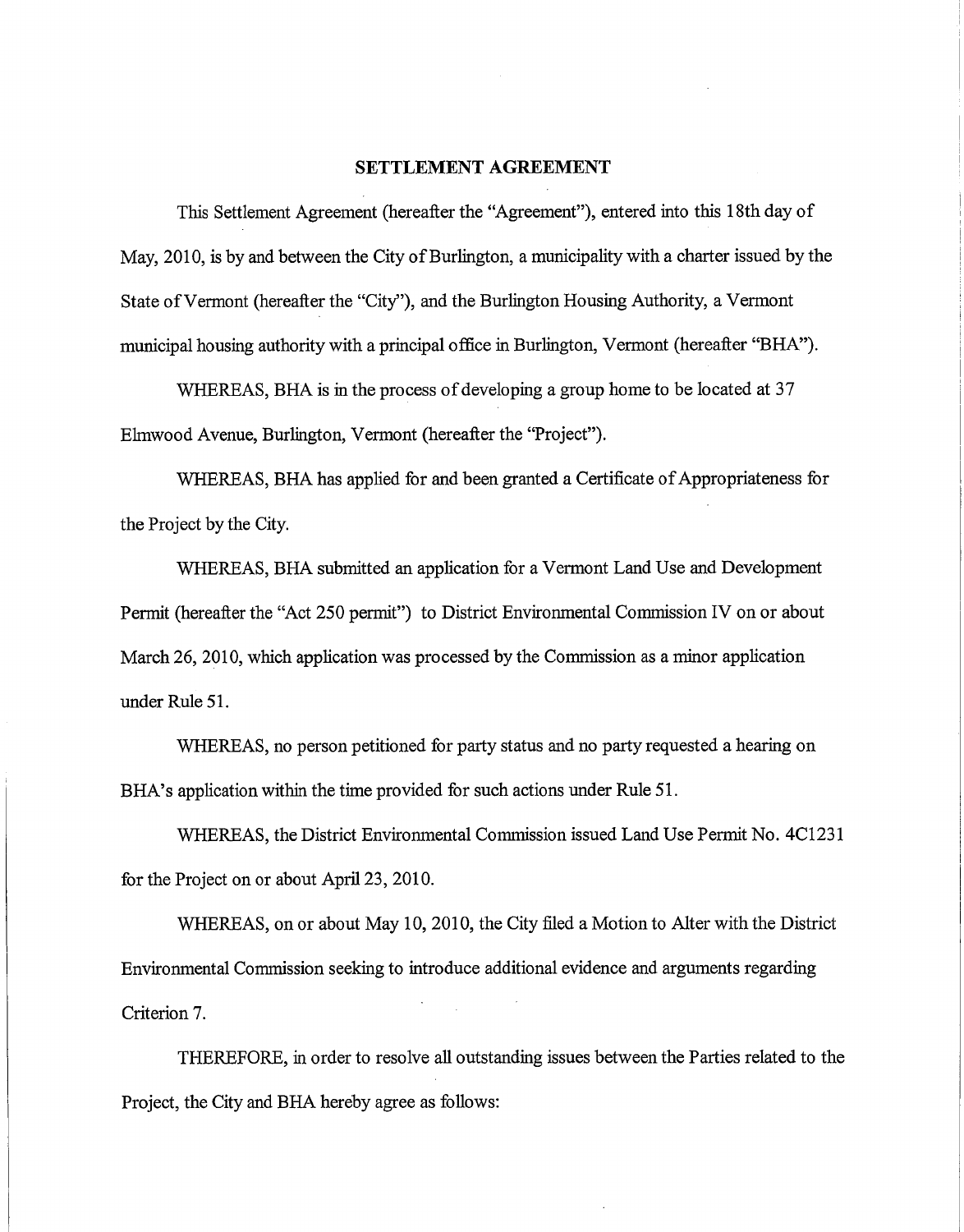#### **SETTLEMENT AGREEMENT**

This Settlement Agreement (hereafter the "Agreement"), entered into this 18th day of May, 2010, is by and between the City of Burlington, a municipality with a charter issued by the State of Vermont (hereafter the "City"), and the Burlington Housing Authority, a Vermont municipal housing authority with a principal office in Burlington, Vermont (hereafter "BHA").

WHEREAS, BHA is in the process of developing a group home to be located at 37 Elmwood Avenue, Burlington, Vermont (hereafter the "Project").

WHEREAS, BHA has applied for and been granted a Certificate of Appropriateness for the Project by the City.

WHEREAS, BHA submitted an application for a Vermont Land Use and Development Permit (hereafter the "Act 250 permit") to District Environmental Commission IV on or about March 26, 2010, which application was processed by the Commission as a minor application under Rule 51.

WHEREAS, no person petitioned for party status and no party requested a hearing on BHA's application within the time provided for such actions under Rule 51.

WHEREAS, the District Environmental Commission issued Land Use Permit No. 4C1231 for the Project on or about April 23, 2010.

WHEREAS, on or about May 10, 2010, the City filed a Motion to Alter with the District Environmental Commission seeking to introduce additional evidence and arguments regarding Criterion 7.

THEREFORE, in order to resolve all outstanding issues between the Parties related to the Project, the City and BHA hereby agree as follows: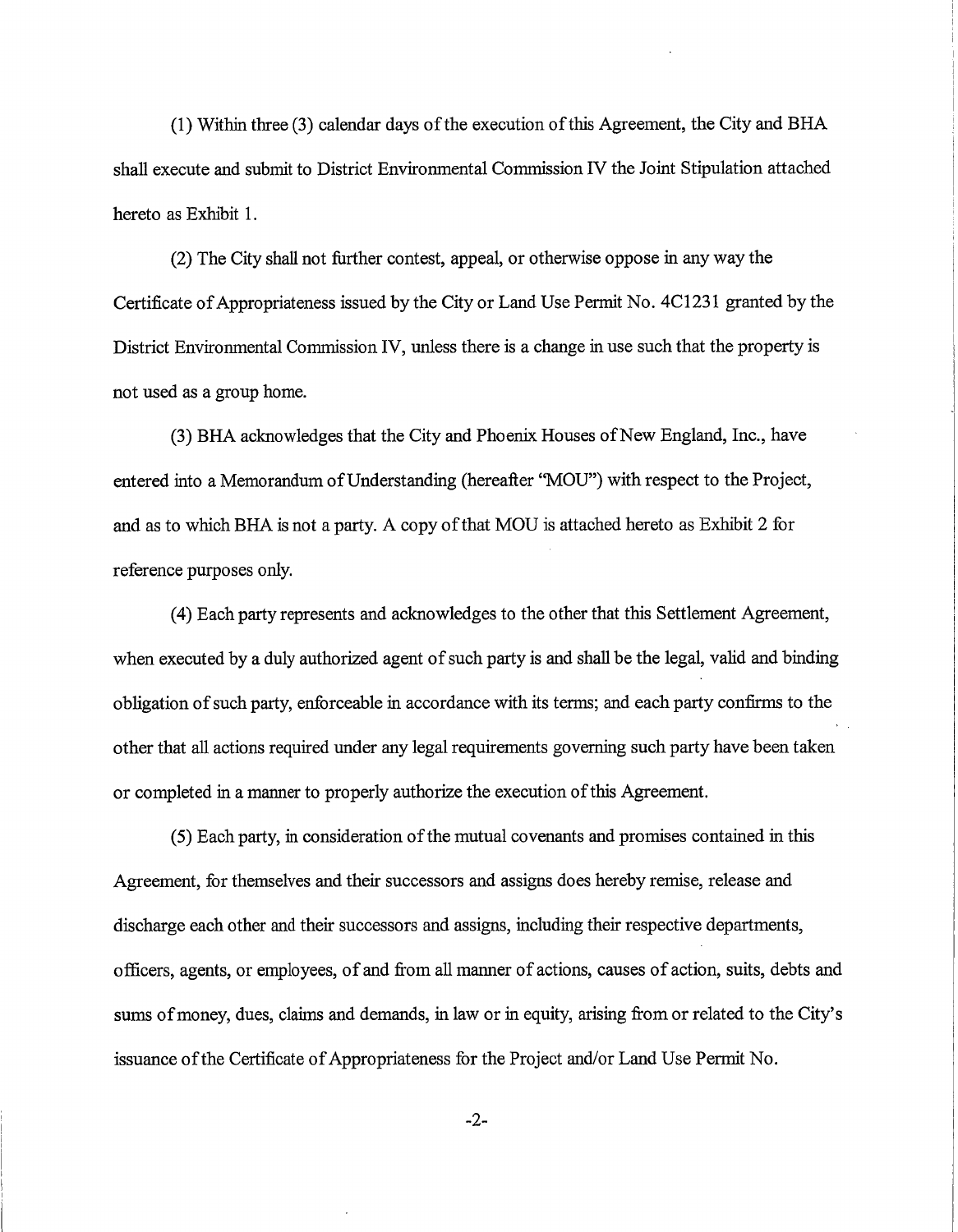(1) Within three (3) calendar days of the execution of this Agreement, the City and BHA shall execute and submit to District Environmental Commission IV the Joint Stipulation attached hereto as Exhibit 1.

(2) The City shall not further contest, appeal, or otherwise oppose in any way the Certificate of Appropriateness issued by the City or Land Use Permit No. 4C1231 granted by the District Environmental Commission IV, unless there is a change in use such that the property is not used as a group home.

(3) BHA acknowledges that the City and Phoenix Houses of New England, Inc., have entered into a Memorandum of Understanding (hereafter "MOU") with respect to the Project, and as to which BHA is not a party. A copy of that MOU is attached hereto as Exhibit 2 for reference purposes only.

(4) Each party represents and acknowledges to the other that this Settlement Agreement, when executed by a duly authorized agent of such party is and shall be the legal, valid and binding obligation of such party, enforceable in accordance with its terms; and each party confirms to the other that all actions required under any legal requirements governing such party have been taken or completed in a manner to properly authorize the execution of this Agreement.

(5) Each party, in consideration of the mutual covenants and promises contained in this Agreement, for themselves and their successors and assigns does hereby remise, release and discharge each other and their successors and assigns, including their respective departments, officers, agents, or employees, of and from all manner of actions, causes of action, suits, debts and sums of money, dues, claims and demands, in law or in equity, arising from or related to the City's issuance of the Certificate of Appropriateness for the Project and/or Land Use Permit No.

-2-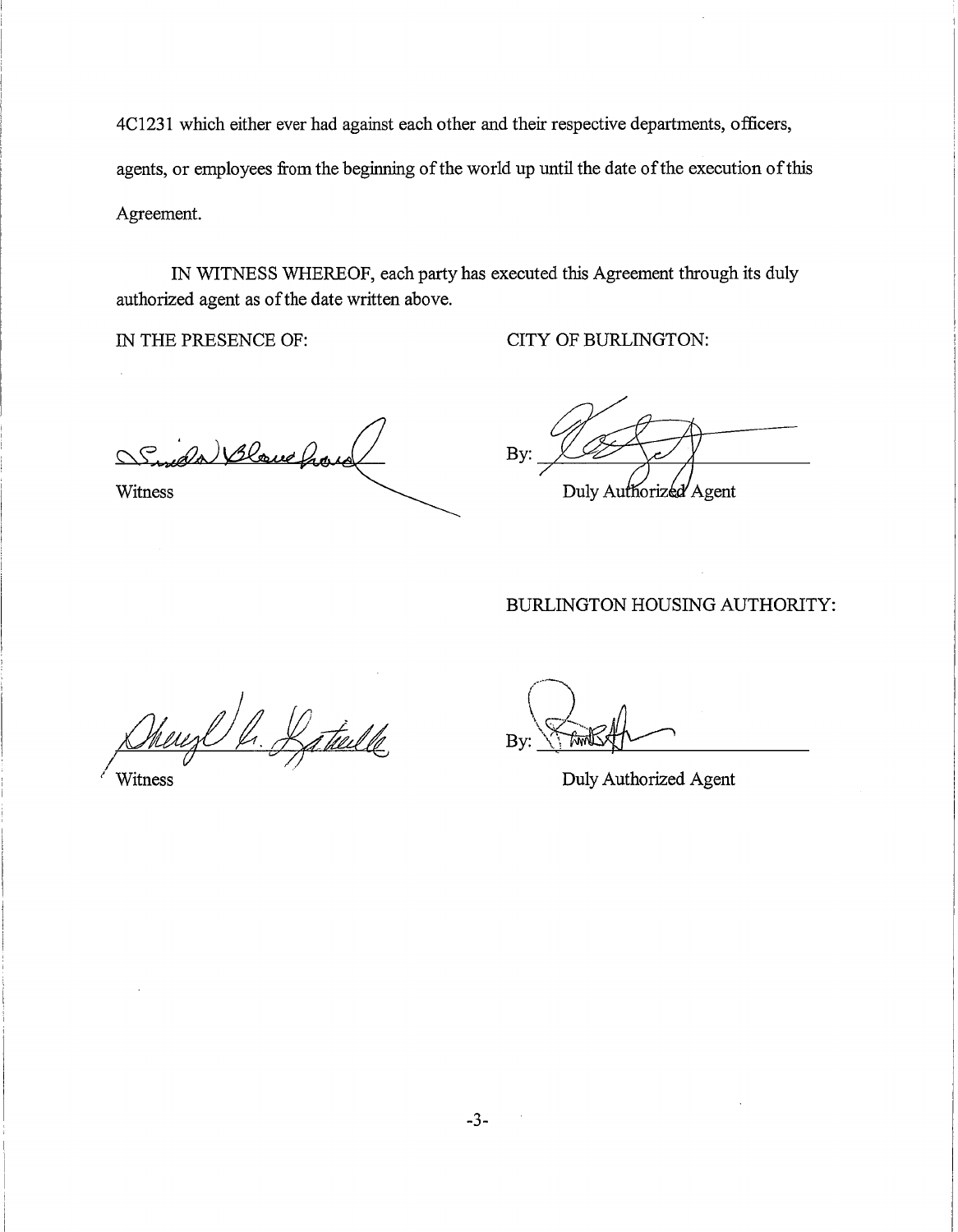4C1231 which either ever had against each other and their respective departments, officers, agents, or employees from the beginning of the world up until the date of the execution of this Agreement.

IN WITNESS WHEREOF, each party has executed this Agreement through its duly authorized agent as of the date written above.

IN THE PRESENCE OF: CITY OF BURLINGTON:

da Blowe have

Witness

By: Duly Authorized Agent

#### BURLINGTON HOUSING AUTHORITY:

hereze h. Baticelle

By:

Witness Duly Authorized Agent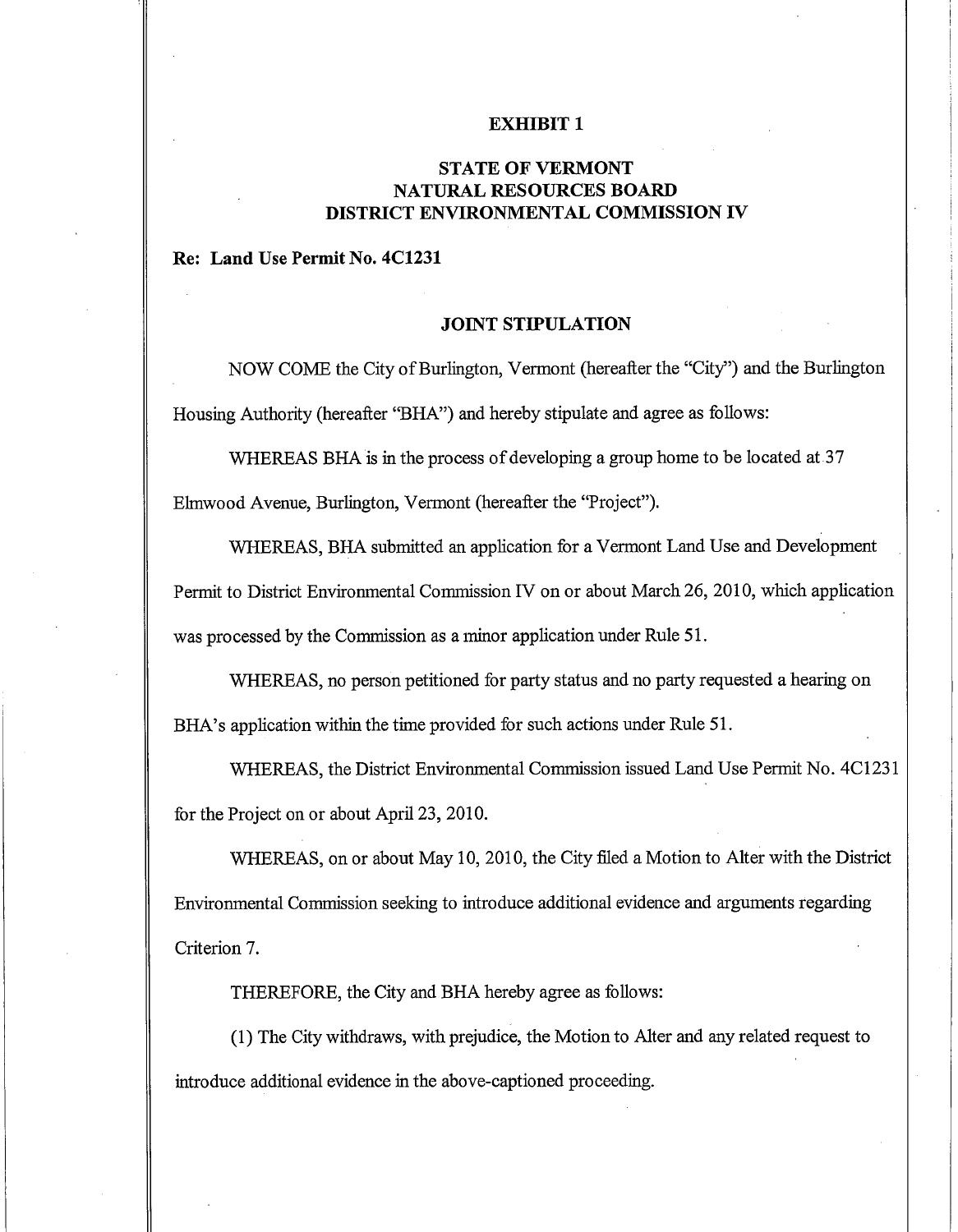#### **EXHIBIT 1**

#### **STATE OF VERMONT NATURAL RESOURCES BOARD DISTRICT ENVIRONMENTAL COMMISSION IV**

#### **Re: Land Use Permit No. 4C1231**

#### **JOINT STIPULATION**

NOW COME the City of Burlington, Vermont (hereafter the "City") and the Burlington Housing Authority (hereafter "BHA") and hereby stipulate and agree as follows:

WHEREAS BHA is in the process of developing a group home to be located at 37 Elmwood Avenue, Burlington, Vermont (hereafter the "Project").

WHEREAS, BHA submitted an application for a Vermont Land Use and Development Permit to District Environmental Commission IV on or about March 26, 2010, which application was processed by the Commission as a minor application under Rule 51.

WHEREAS, no person petitioned for party status and no party requested a hearing on BHA's application within the time provided for such actions under Rule 51.

WHEREAS, the District Environmental Commission issued Land Use Permit No. 4C1231 for the Project on or about April 23, 2010.

WHEREAS, on or about May 10, 2010, the City filed a Motion to Alter with the District Environmental Commission seeking to introduce additional evidence and arguments regarding Criterion 7.

THEREFORE, the City and BHA hereby agree as follows:

(1) The City withdraws, with prejudice, the Motion to Alter and any related request to introduce additional evidence in the above-captioned proceeding.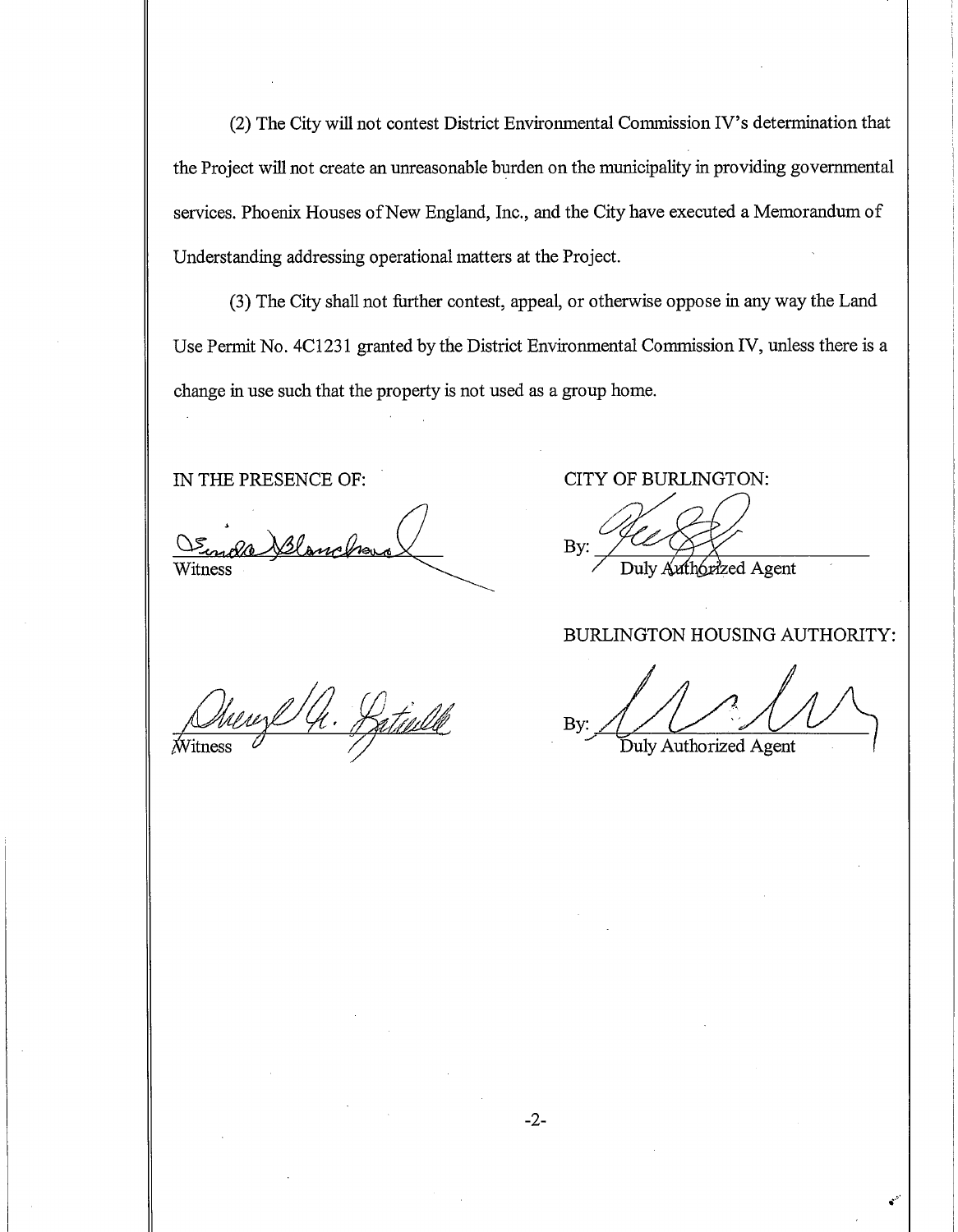(2) The City will not contest District Environmental Commission IV's determination that the Project will not create an unreasonable burden on the municipality in providing governmental services. Phoenix Houses of New England, Inc., and the City have executed a Memorandum of Understanding addressing operational matters at the Project.

(3) The City shall not further contest, appeal, or otherwise oppose in any way the Land Use Permit No. 4C1231 granted by the District Environmental Commission IV, unless there is a change in use such that the property is not used as a group home.

Witness

IN THE PRESENCE OF: CITY OF BURLINGTON:

By: Duly Authorized Agent

#### BURLINGTON HOUSING AUTHORITY:

Dueuge 4. Patielle

By: Duly Authorized Agent

 $-2-$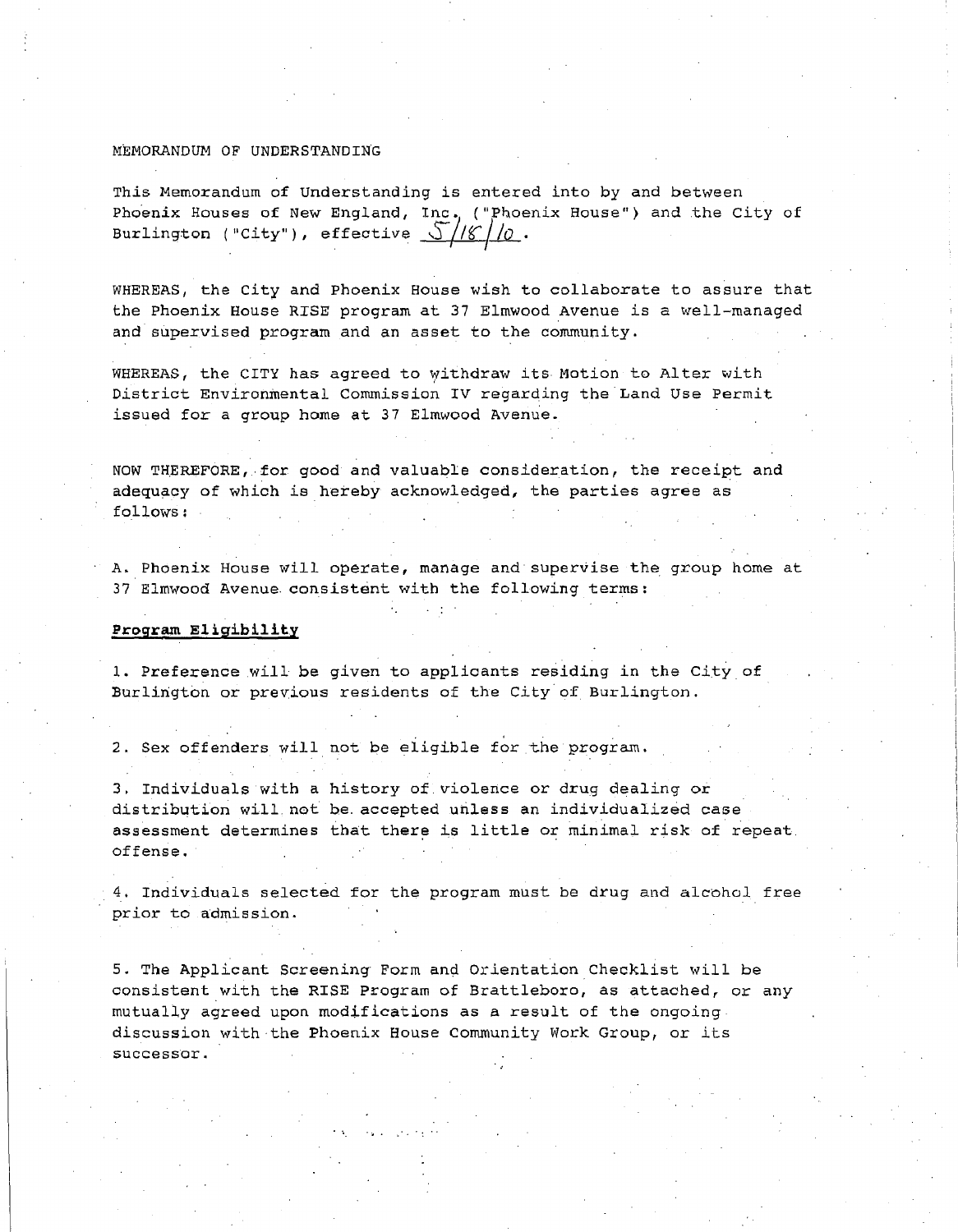#### MEMORANDUM OF UNDERSTANDING

This Memorandum of Understanding is entered into by and between Phoenix Houses of New England, Inc. ("Phoenix House") and the City of<br>Burlington ("City"), effective  $\frac{\sqrt{16}}{10}$ .

WHEREAS, the City and Phoenix House wish to collaborate to assure that the Phoenix House RISE program at 37 Elmwood Avenue is a well-managed and supervised program and an asset to the community.

WHEREAS, the CITY has agreed to withdraw its Motion to Alter with District Environmental Commission IV regarding the Land Use Permit issued for a group home at 37 Elmwood Avenue.

NOW **THEREFORE,.** for good and valuable consideration, the receipt and adequacy of which is hereby acknowledged, the parties agree as follows:

A. Phoenix House will operate, manage and supervise the group home at *37 Elmwood* Avenue. consistent with the following terms:

#### *Program Eligibility*

1. Preference will be given to applicants residing in the City of Burlington or previous residents of the City of Burlington.

2. Sex offenders will not be eligible for the program.

3. Individuals with a history of. violence or drug dealing or distribution will. not be. accepted unless an individualized case assessment determines that there is little or minimal risk of repeat. offense.

4. Individuals selected for the program must be drug and alcohol free prior to admission.

5. The Applicant Screening Form and Orientation Checklist will be consistent with the RISE Program of Brattleboro, as attached, or any mutually agreed upon modifications as a result of the ongoing discussion with the Phoenix House Community Work Group, or its successor.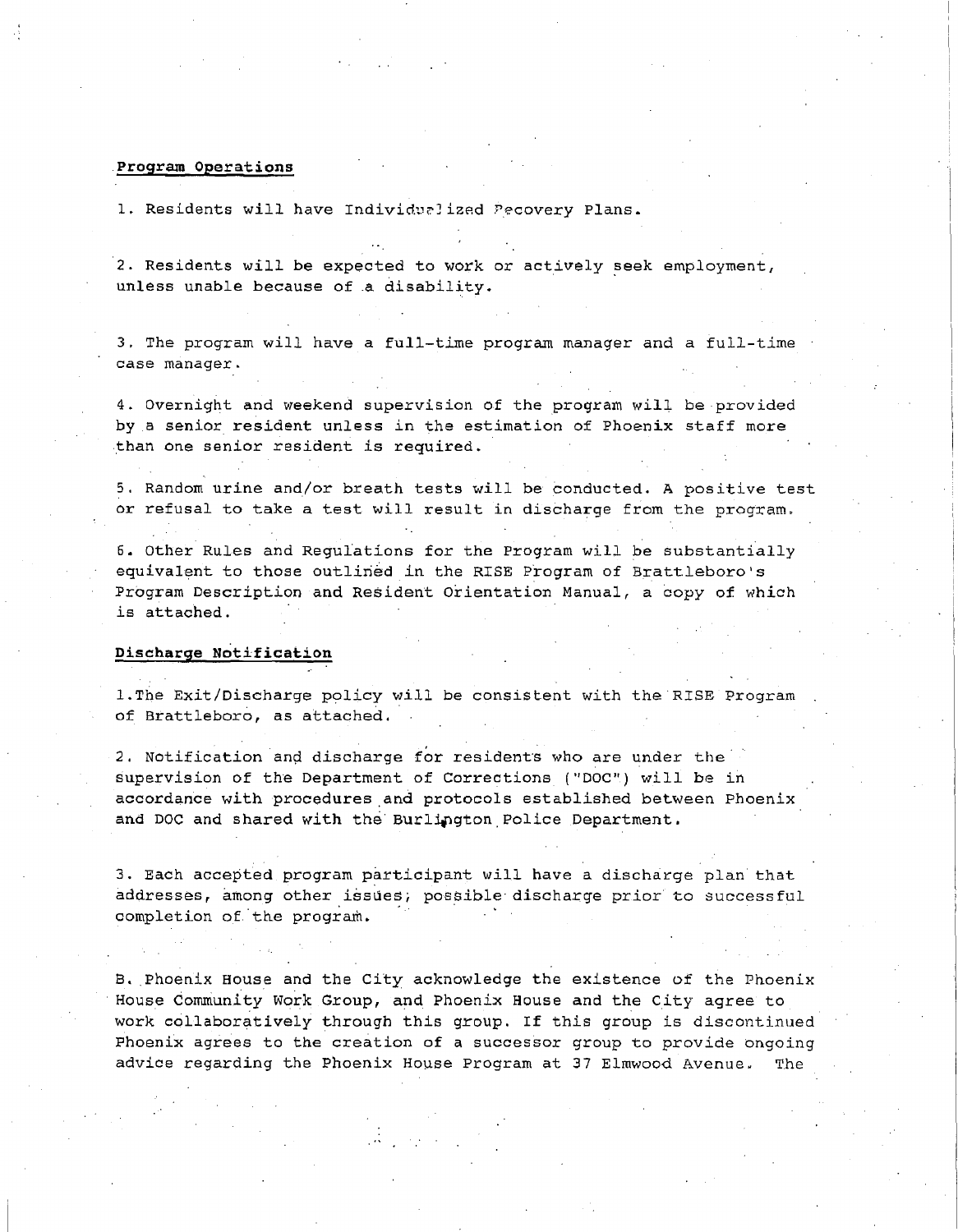#### **Program Operations**

1. Residents will have Individualized Pecovery Plans.

2. Residents will be expected to work or actively seek employment, unless unable because of a disability.

3. The program will have a full-time program manager and a full-time case manager.

4. Overnight and weekend supervision of the program will be provided by a senior resident unless in the estimation of Phoenix staff more than one senior resident is required.

5. Random urine and/or breath tests will be conducted. A positive test or refusal to take a test will result in discharge from the program.

6. Other Rules and Regulations for the Program will be substantially equivalent to those outlined in the RISE Program of Brattleboro's Program Description and Resident Orientation Manual, a copy of which is attached.

#### **Discharge Notification**

1.The Exit/Discharge policy will be consistent with the RISE Program of Brattleboro, as attached.

2. Notification and discharge for residents who are under the supervision of the Department of Corrections ("DOC") will be in accordance with procedures and protocols established between Phoenix and DOC and shared with the Burlington Police Department.

3. Each accepted program participant will have a discharge plan that addresses, among other issues; possible discharge prior to successful completion of the program.

H. Phoenix House and the City acknowledge the existence of the Phoenix House Community Work Group, and Phoenix House and the City agree to work collaboratively through this group. If this group is discontinued Phoenix agrees to the creation of a successor group to provide ongoing advice regarding the Phoenix House Program at 37 Elmwood Avenue. The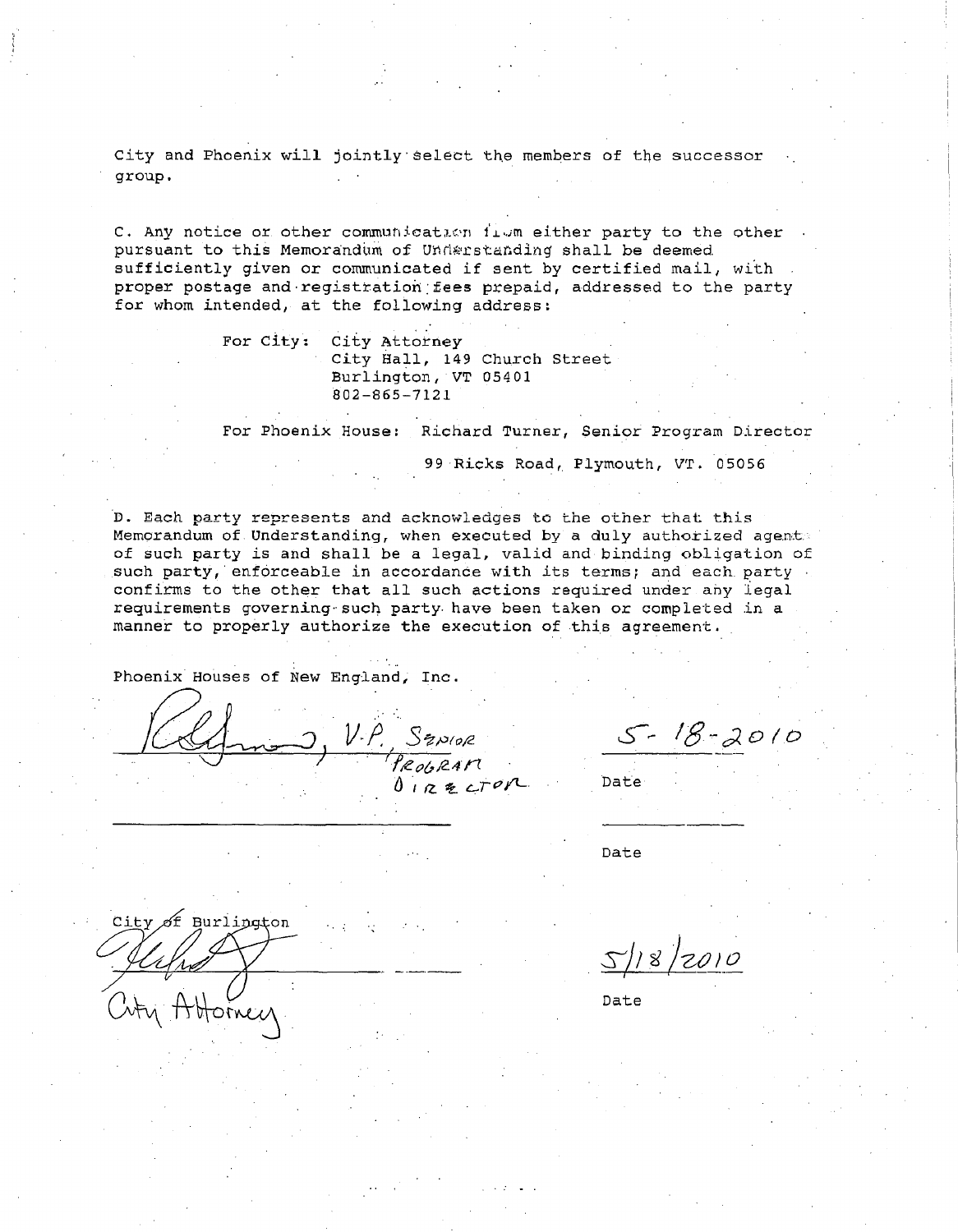City and Phoenix will jointly select the members of the successor group.

C. Any notice or other communication flum either party to the other pursuant to this Memorandum of Understanding shall be deemed. sufficiently given or communicated if sent by certified mail, with proper postage and registration fees prepaid, addressed to the party for whom intended, at the following address:

> For City: City Attorney City Hall, 149 Church Street Burlington, VT 05401 802-865-7121

For Phoenix House: Richard Turner, Senior Program Director

99 Ricks Road, Plymouth, VT. 05056

D. Each party represents and acknowledges to the other that this Memorandum of. Understanding, when executed by a duly authorized agent of such party is and shall be a legal, valid and binding obligation of such party, enforceable in accordance with its terms; and each party confirms to the other that all such actions required under any legal requirements governing such party have been taken or completed in a manner to properly authorize the execution of this agreement.

Phoenix Houses of New England; Inc.

J V"P^ *\$* <sup>N</sup>(P2 *^/eoU24* rr

 $5 - 18 - 2010$ 

Date

Date

ity of Burlington

otornec

Sll^'*20)*

Date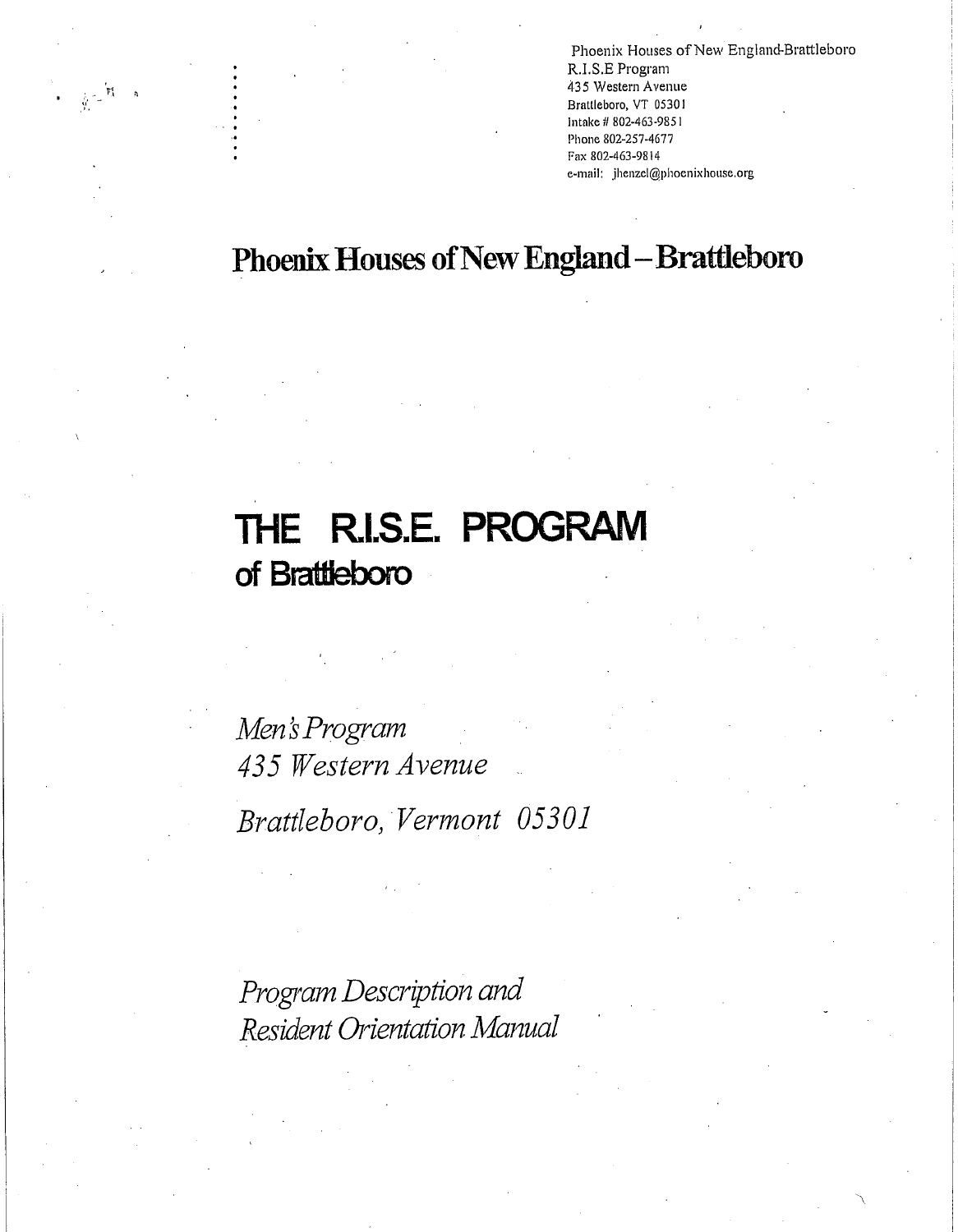Phoenix Houses of New England-Brattleboro R.I.S.E Program *435* Western Avenue Brattleboro, VT 05301 Intake iI 802-463-9851 Phone 802-257-4677 Fax 802-463-9814 e-mail: jhenzel@phoenixhouse.org

# Phoenix Houses of New England - Brattleboro

# **THE R.I.S.E. PROGRAM of Brattleboro**

 $\frac{1}{N}\leq \frac{1}{N}$ 

*Men's Program 435 Western Avenue Brattleboro, Vermont 05301*

*Program Description and Resident Orientation Manual*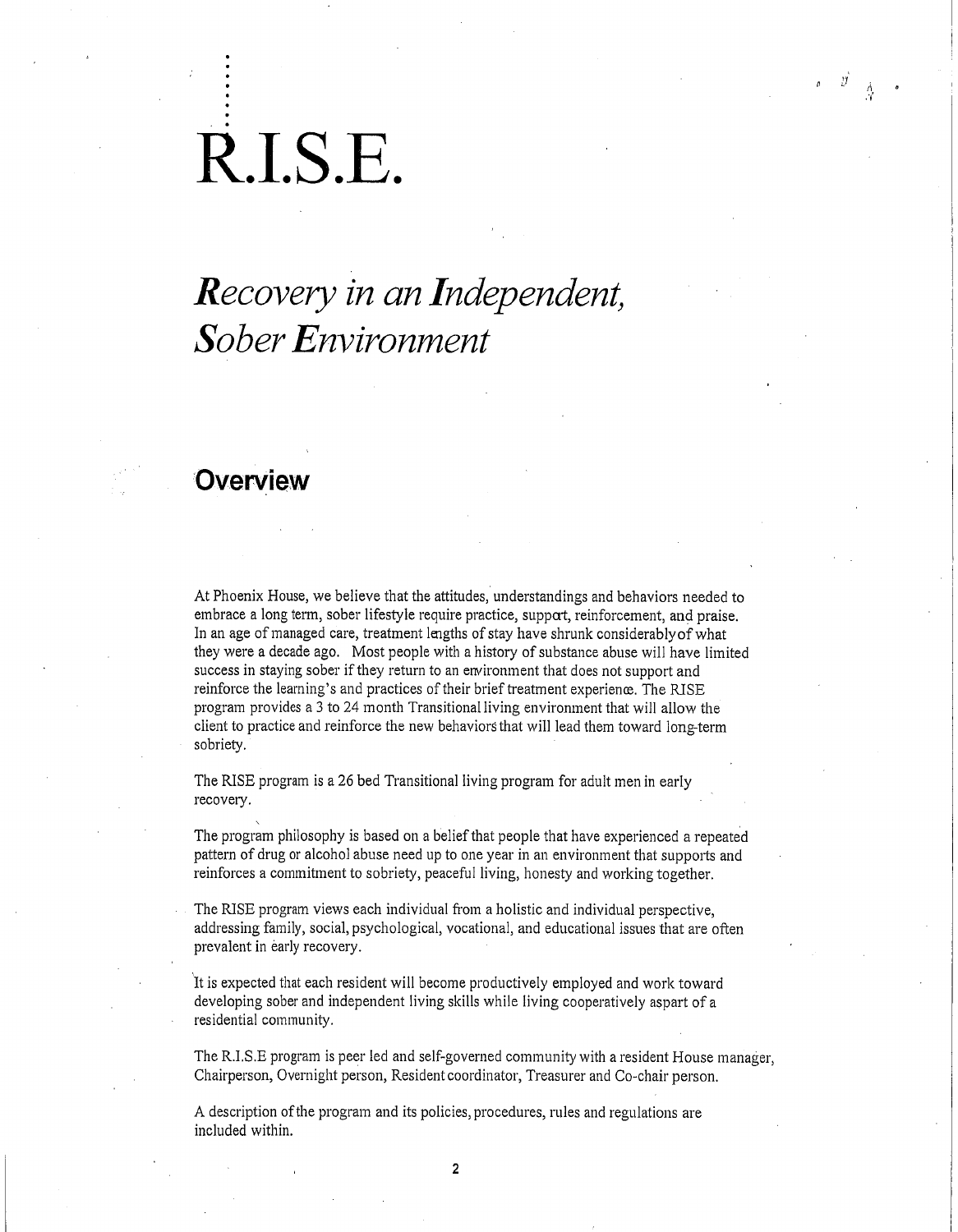# R.I.S.E.

# *Recovery in an Independent, Sober Environment*

### **Overview**

At Phoenix House, we believe that the attitudes, understandings and behaviors needed to embrace a long term, sober lifestyle require practice, suppat, reinforcement, and praise. In an age of managed care, treatment lengths of stay have shrunk considerably of what they were a decade ago. Most people with a history of substance abuse will have limited success in staying sober if they return to an environment that does not support and reinforce the learning's and practices of their brief treatment experience. The RISE program provides a 3 to 24 month Transitional living environment that will allow the client to practice and reinforce the new behaviors that will lead them toward long-term sobriety.

The RISE program is a 26 bed Transitional living program for adult men in early recovery.

The program philosophy is based on a belief that people that have experienced a repeated pattern of drug or alcohol abuse need up to one year in an environment that supports and reinforces a commitment to sobriety, peaceful living, honesty and working together.

The RISE program views each individual from a holistic and individual perspective, addressing family, social, psychological, vocational, and educational issues that are often prevalent in early recovery.

It is expected that each resident will become productively employed and work toward developing sober and independent living skills while living cooperatively aspart of a residential community.

The R.I,S.E program is peer led and self-governed community with a resident House manager, Chairperson, Overnight person, Resident coordinator, Treasurer and Co-chair person.

A description of the program and its policies, procedures, rules and regulations are included within.

**2**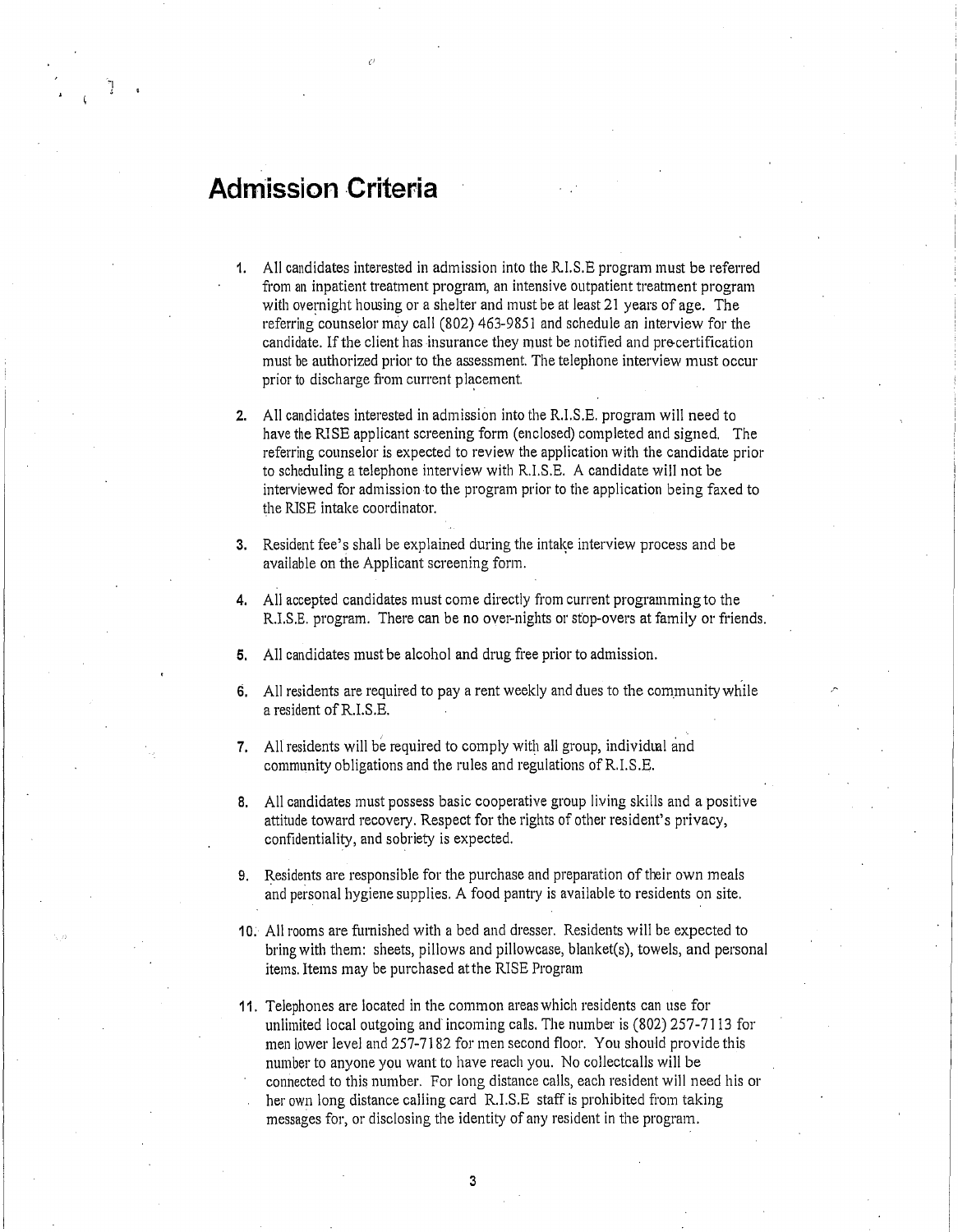# **Admission Criteria**

- 1. All candidates interested in admission into the R.I.S.E program must be referred from an inpatient treatment program, an intensive outpatient treatment program with overnight housing or a shelter and must be at least 21 years of age. The referring counselor may call (802) 463-9851 and schedule an interview for the candidate. If the client has insurance they must be notified and pre-certification must be authorized prior to the assessment. The telephone interview must occur prior to discharge from current placement.
- 2. All candidates interested in admission into the R.I.S.E, program will need to have the RISE applicant screening form (enclosed) completed and signed. The referring counselor is expected to review the application with the candidate prior to scheduling a telephone interview with R.I.S.E. A candidate will not be interviewed for admission to the program prior to the application being faxed to the RISE intake coordinator.
- 3. Resident fee's shall be explained during the intake interview process and be available on the Applicant screening form.
- 4. All accepted candidates must come directly from current programming to the R.I.S.E. program. There can be no over-nights or stop-overs at family or friends.
- 5. All candidates must be alcohol and drug free prior to admission.
- 6. All residents are required to pay a rent weekly and dues to the community while a resident of R.I.S.E.
- 7. All residents will be required to comply with all group, individual and community obligations and the rules and regulations of R.I.S.E.
- 8. All candidates must possess basic cooperative group living skills and a positive attitude toward recovery. Respect for the rights of other resident's privacy, confidentiality, and sobriety is expected.
- 9. Residents are responsible for the purchase and preparation of their own meals and personal hygiene supplies. A food pantry is available to residents on site.
- 10. All rooms are furnished with a bed and dresser. Residents will be expected to bring with them: sheets, pillows and pillowcase, blanket(s), towels, and personal items. Items may be purchased at the RISE Program
- 11. Telephones are located in the common areas which residents can use for unlimited local outgoing and' incoming calls. The number is (802) 257-7113 for men lower level and 257-7182 for men second floor. You should provide this number to anyone you want to have reach you. No collectcalls will be connected to this number. For long distance calls, each resident will need his or her own long distance calling card R.I.S.E staff is prohibited from taking messages for, or disclosing the identity of any resident in the program.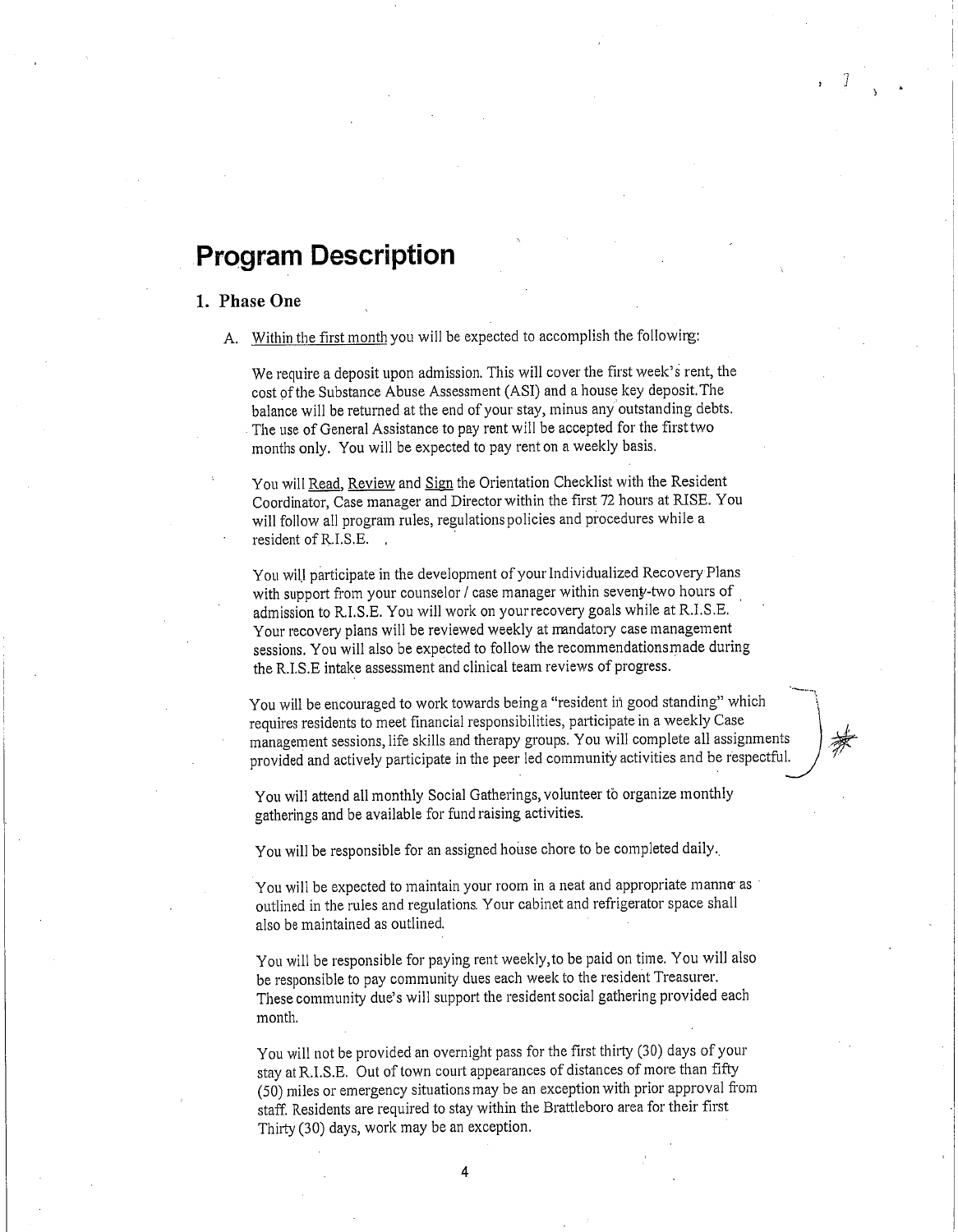## **Program Description**

#### 1. **Phase One**

A. Within the first month you will be expected to accomplish the followirg:

We require a deposit upon admission. This will cover the first week's rent, the cost of the Substance Abuse Assessment (ASI) and a house key deposit. The balance will be returned at the end of your stay, minus any outstanding debts. The use of General Assistance to pay rent will be accepted for the firsttwo months only. You will be expected to pay rent on a weekly basis.

You will Read, Review and Sign the Orientation Checklist with the Resident Coordinator, Case manager and Director within the first 72 hours at RISE. You will follow all program rules, regulations policies and procedures while a resident of R.I.S.E. ,

You will participate in the development of your Individualized Recovery Plans with support from your counselor / case manager within seveny-two hours of admission to R.I.S.E. You will work on your recovery goals while at R.I.S.E, Your recovery plans will be reviewed weekly at mandatory case management sessions. You will also be expected to follow the recommendationsmade during the R.I,S.E intake assessment and clinical team reviews of progress.

You will be encouraged to work towards being a "resident in good standing" which requires residents to meet financial responsibilities, participate in a weekly Case management sessions, life skills and therapy groups. You will complete all assignments provided and actively participate in the peer led community activities and be respectful.

You will attend all monthly Social Gatherings, volunteer to organize monthly gatherings and be available for fund raising activities.

You will be responsible for an assigned house chore to be completed daily..

You will be expected to maintain your room in a neat and appropriate manne as outlined in the rules and regulations. Your cabinet and refrigerator space shall also be maintained as outlined.

You will be responsible for paying rent weekly,to be paid on time. You will also be responsible to pay community dues each week to the resident Treasurer. These community due's will support the resident social gathering provided each month.

You will not be provided an overnight pass for the first thirty (30) days of your stay at R.I.S.E. Out of town court appearances of distances of more than fifty (50) miles or emergency situations may be an exception with prior approval from staff. Residents are required to stay within the Brattleboro area for their first Thirty (30) days, work may be an exception.

4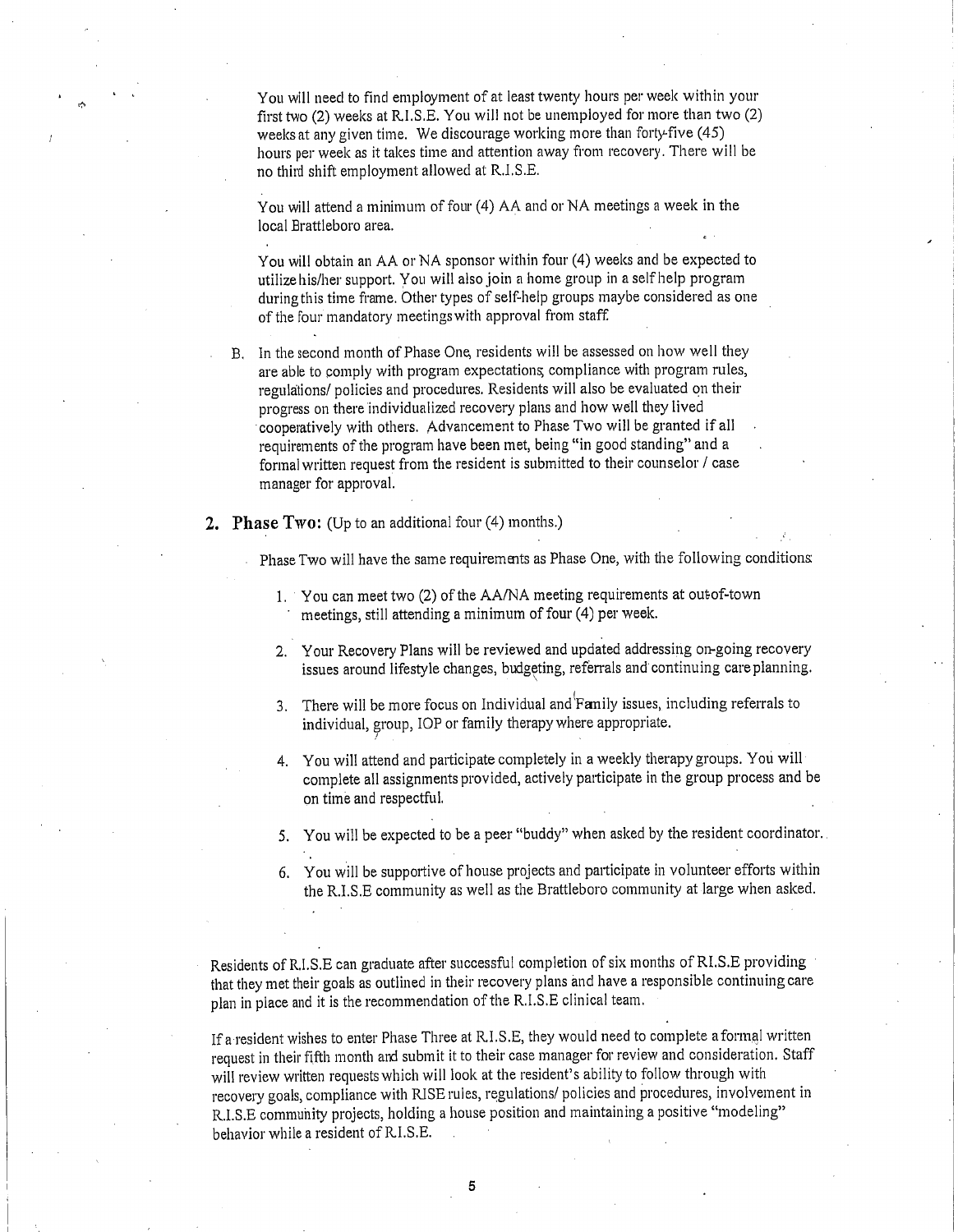You will need to find employment of at least twenty hours per week within your first two (2) weeks at R.I.S.E. You will not be unemployed for more than two (2) weeks at any given time. We discourage working more than forty-five (45) hours per week as it takes time and attention away from recovery. There will be no third shift employment allowed at R.I.S.E.

You will attend a minimum of four (4) AA and or NA meetings a week in the local Brattleboro area.

You will obtain an AA or NA sponsor within four (4) weeks and be expected to utilize his/her support. You will also join a home group in a self help program during this time frame. Other types of self-help groups maybe considered as one of the four mandatory meetings with approval from staff

- B. In the second month of Phase One, residents will be assessed on how well they are able to comply with program expectations compliance with program rules, regulations/ policies and procedures. Residents will also be evaluated on their progress on there individualized recovery plans and how well they lived cooperatively with others. Advancement to Phase Two will be granted if all requirements of the program have been met, being "in good standing" and a formal written request from the resident is submitted to their counselor / case manager for approval.
- 2. **Phase Two:** (Up to an additional four (4) months.)

Phase Two will have the same requirements as Phase One, with the following conditions

- 1. You can meet two (2) of the AA/NA meeting requirements at outof-town meetings, still attending a minimum of four (4) per week.
- 2. Your Recovery Plans will be reviewed and updated addressing on-going recovery issues around lifestyle changes, budgeting, referrals and continuing care planning.
- 3. There will be more focus on Individual and'Fanily issues, including referrals to individual, group, IOP or family therapy where appropriate.
- 4. You will attend and participate completely in a weekly therapy groups. You will complete all assignments provided, actively participate in the group process and be on time and respectful.
- 5. You will be expected to be a peer "buddy" when asked by the resident coordinator.
- 6. You will be supportive of house projects and participate in volunteer efforts within the R.I.S.E community as well as the Brattleboro community at large when asked.

Residents of R.I.S.E can graduate after successful completion of six months of RLS.E providing that they met their goals as outlined in their recovery plans and have a responsible continuing care plan in place and it is the recommendation of the R.I.S.E clinical team.

If a resident wishes to enter Phase Three at RI.S.E, they would need to complete aformal written request in their fifth month and submit it to their case manager for review and consideration. Staff will review written requests which will look at the resident's ability to follow through with recovery goals, compliance with RISE rules, regulations/ policies and procedures, involvement in R.I.S.E community projects, holding a house position and maintaining a positive "modeling" behavior while a resident of RI.S.E. .

**5**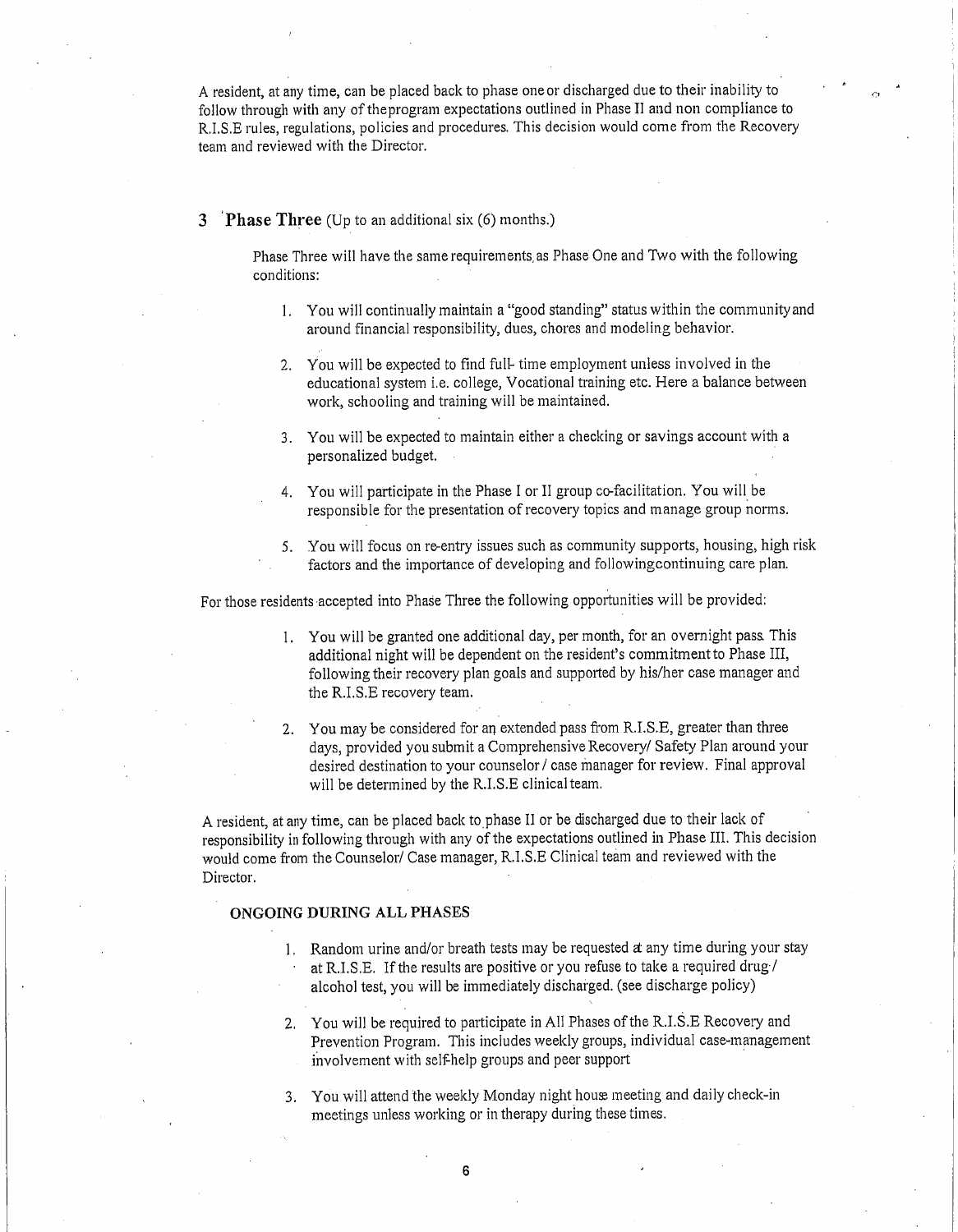A resident, at any time, can be placed back to phase one or discharged due to their inability to follow through with any of theprogram expectations outlined in Phase II and non compliance to R.I.S.E rules, regulations, policies and procedures. This decision would come from the Recovery team and reviewed with the Director.

#### 3 **Phase Three** (Up to an additional six (6) months.)

Phase Three will have the same requirements, as Phase One and Two with the following conditions:

- 1. You will continually maintain a "good standing" status within the community and around financial responsibility, dues, chores and modeling behavior.
- 2. You will be expected to find full- time employment unless involved in the educational system i.e. college, Vocational training etc. Here a balance between work, schooling and training will be maintained.
- 3. You will be expected to maintain either a checking or savings account with a personalized budget.
- 4. You will participate in the Phase I or II group co-facilitation. You will be responsible for the presentation of recovery topics and manage group norms.
- 5. You will focus on re-entry issues such as community supports, housing, high risk factors and the importance of developing and followingcontinuing care plan.

For those residents accepted into Phase Three the following opportunities will be provided:

- 1. You will be granted one additional day, per month, for an overnight pass This additional night will be dependent on the resident's commitment to Phase III, following their recovery plan goals and supported by his/her case manager and the R.I.S.E recovery team.
- 2. You may be considered for an extended pass from R.I.S.E, greater than three days, provided you submit a Comprehensive Recovery/ Safety Plan around your desired destination to your counselor / case manager for review. Final approval will be determined by the R.I.S.E clinical team.

A resident, at any time, can be placed back tophase II or be discharged due to their lack of responsibility in following through with any of the expectations outlined in Phase III. This decision would come from the Counselor/ Case manager, R.I.S.E Clinical team and reviewed with the Director.

#### ONGOING **DURING** ALL **PHASES**

- 1. Random urine and/or breath tests may be requested at any time during your stay at R.I.S.E. If the results are positive or you refuse to take a required drug/ alcohol test, you will be immediately discharged. (see discharge policy)
- 2. You will be required to participate in All Phases of the R.I.S.E Recovery and Prevention Program. This includes weekly groups, individual case-management involvement with self-help groups and peer support
- 3. You will attend the weekly Monday night house meeting and daily check-in meetings unless working or in therapy during these times.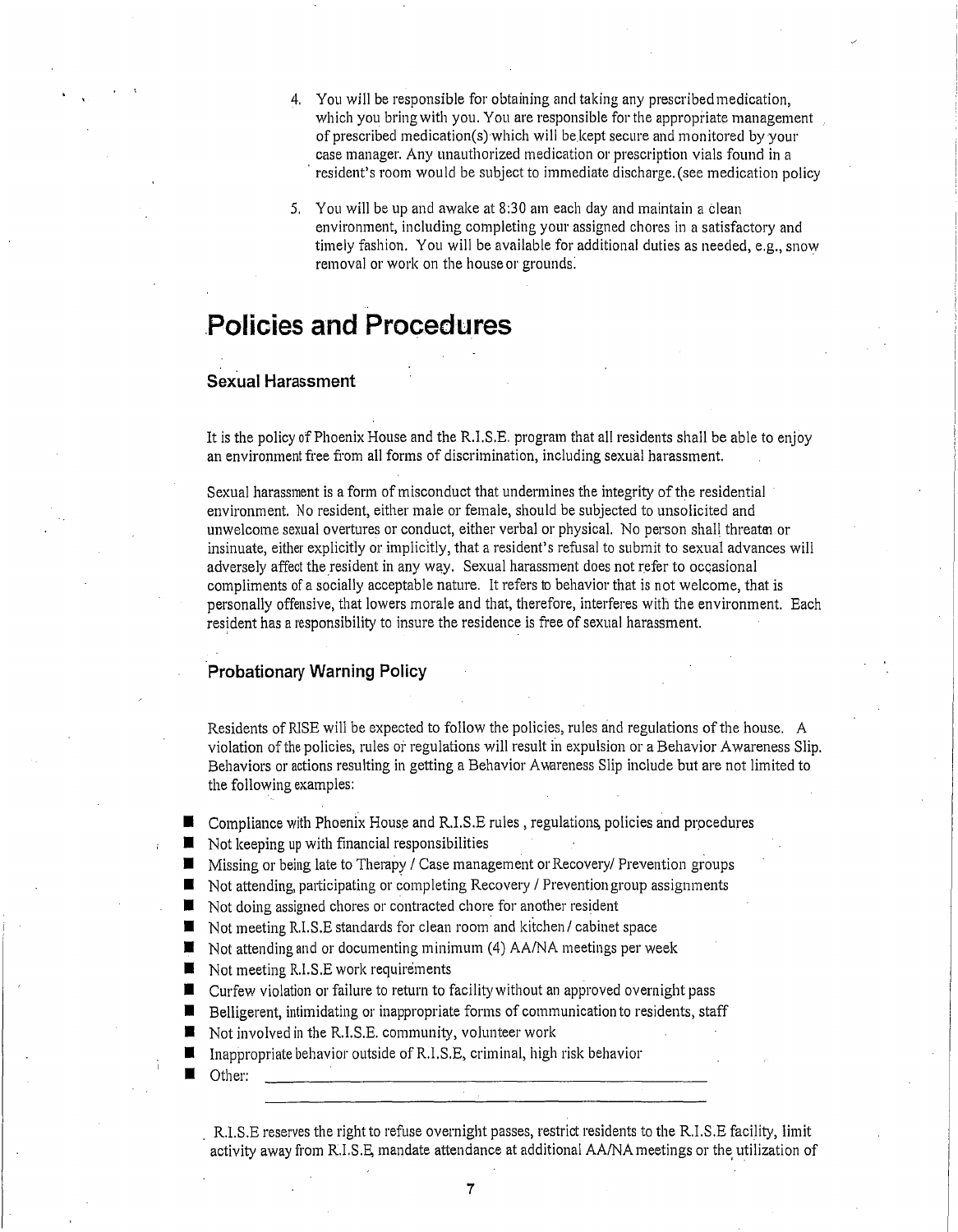- 4. You will be responsible for obtaining and taking any prescribed medication, which you bring with you. You are responsible for the appropriate management of prescribed medication(s) which will be kept secure and monitored by your case manager. Any unauthorized medication or prescription vials found in a resident's room would be subject to immediate discharge. (see medication policy
- 5. You will be up and awake at 8:30 am each day and maintain a clean environment, including completing your assigned chores in a satisfactory and timely fashion. You will be available for additional duties as needed, e.g., snow removal or work on the house or grounds:

## **Policies and Procedures**

#### **Sexual Harassment**

It is the policy of Phoenix House and the R.I.S.E. program that all residents shall be able to enjoy an environment free from all forms of discrimination, including sexual harassment.

Sexual harassment is a form of misconduct that undermines the integrity of the residential environment. No resident, either male or female, should be subjected to unsolicited and unwelcome sexual overtures or conduct, either verbal or physical. No person shall threaten or insinuate, either explicitly or implicitly, that a resident's refusal to submit to sexual advances will adversely affect the resident in any way. Sexual harassment does not refer to occasional compliments of a socially acceptable nature. It refers to behavior that is not welcome, that is personally offensive, that lowers morale and that, therefore, interferes with the environment. Each resident has a responsibility to insure the residence is free of sexual harassment.

#### **Probationary Warning Policy**

Residents of RISE will be expected to follow the policies, rules and regulations of the house. A violation of the policies, rules or regulations will result in expulsion or a Behavior Awareness Slip. Behaviors or actions resulting in getting a Behavior Awareness Slip include but are not limited to the following examples:

- $\blacksquare$  Compliance with Phoenix House and R.I.S.E rules, regulations, policies and procedures
- $\blacksquare$  Not keeping up with financial responsibilities
- Missing or being late to Therapy / Case management or Recovery/ Prevention groups
- Not attending, participating or completing Recovery / Prevention group assignments
- $\blacksquare$  Not doing assigned chores or contracted chore for another resident
- Not meeting R.I.S.E standards for clean room and kitchen/ cabinet space
- $\blacksquare$  Not attending and or documenting minimum (4) AA/NA meetings per week
- Not meeting R.I.S.E work requirements
- Curfew violation or failure to return to facility without an approved overnight pass
- n Belligerent, intimidating or inappropriate forms of communication to residents, staff
- Not involved in the R.I.S.E. community, volunteer work
- n Inappropriate behavior outside of R.I.S.E, criminal, high risk behavior
	- Other:

R.I.S.E reserves the right to refuse overnight passes, restrict residents to the R.I.S.E facility, limit activity away from R.I.S.E, mandate attendance at additional AA/NA meetings or the utilization of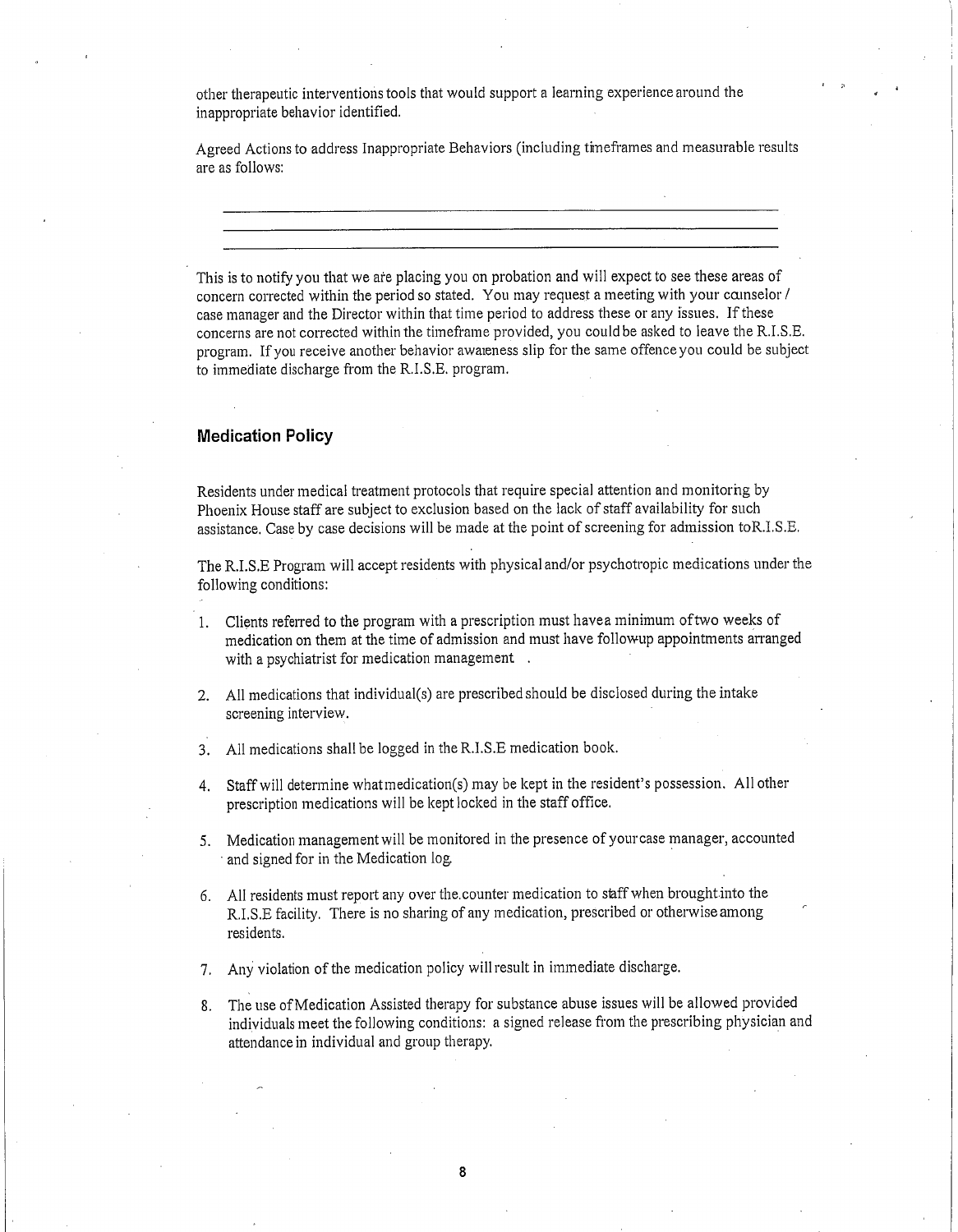other therapeutic interventions tools that would support a learning experience around the inappropriate behavior identified.

Agreed Actions to address Inappropriate Behaviors (including thneframes and measurable results are as follows:

This is to notify you that we are placing you on probation and will expect to see these areas of concern corrected within the period so stated. You may request a meeting with your camselor / case manager and the Director within that time period to address these or any issues. If these concerns are not corrected within the timeframe provided, you could be asked to leave the R.I.S.E. program. If you receive another behavior awareness slip for the same offence you could be subject to immediate discharge from the R.I.S.E. program.

#### **Medication Policy**

Residents under medical treatment protocols that require special attention and monitorhg by Phoenix House staff are subject to exclusion based on the lack of staff availability for such assistance. Case by case decisions will be made at the point of screening for admission toR.I.S.E.

The R.I.S.E Program will accept residents with physical and/or psychotropic medications under the following conditions:

- 1. Clients referred to the program with a prescription must havea minimum oftwo weeks of medication on them at the time of admission and must have followup appointments arranged with a psychiatrist for medication management .
- 2. All medications that individual(s) are prescribed should be disclosed during the intake screening interview.
- 3. All medications shall be logged in the R.I.S.E medication book.
- 4. Staff will determine whatmedication(s) may be kept in the resident's possession. All other prescription medications will be kept locked in the staff office.
- 5. Medication management will be monitored in the presence of your case manager, accounted and signed for in the Medication log.
- 6. All residents must report any over the.counter medication to staff when brought.into the R.I.S.E facility. There is no sharing of any medication, prescribed or otherwise among residents.
- 7. Any violation of the medication policy will result in immediate discharge.
- 8. The use of Medication Assisted therapy for substance abuse issues will be allowed provided individuals meet the following conditions: a signed release from the prescribing physician and attendance in individual and group therapy.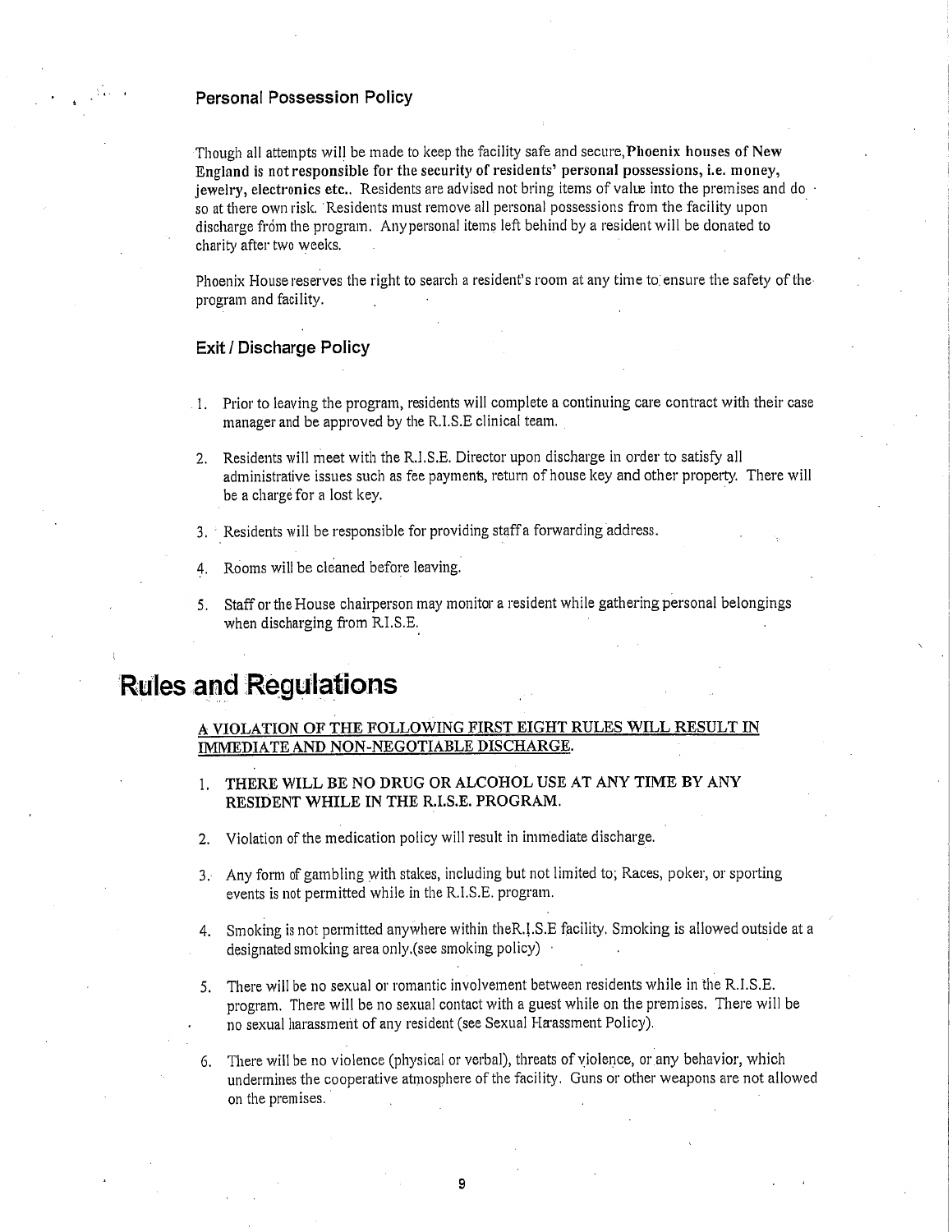#### **Personal Possession Policy**

Though all attempts will be made to keep the facility safe and secure,Phoenix **houses** of New England is not responsible for the security of **residents' personal possessions, i.e. money,** jewelry, electronics etc.. Residents are advised not bring items of value into the premises and do so at there own risk. Residents must remove all personal possessions from the facility upon discharge from the program. Any personal items left behind by a resident will be donated to charity after two weeks.

Phoenix House reserves the right to search a resident's room at any time to ensure the safety of the program and facility.

#### **Exit** / **Discharge Policy**

- Prior to leaving the program, residents will complete a continuing care contract with their case manager and be approved by the R.I.S.E clinical team.
- 2. Residents will meet with the R.I.S.E. Director upon discharge in order to satisfy all administrative issues such as fee payment, return of house key and other property. There will be a charge for a lost key.
- 3. Residents will be responsible for providing staff a forwarding address.
- 4. Rooms will be cleaned before leaving.
- 5. Staff or the House chairperson may monitor a resident while gathering personal belongings when discharging from RI.S.E.

## **'Rules and Regulations**

#### A VIOLATION OF THE FOLLOWING FIRST EIGHT RULES WILL RESULT IN IMMEDIATE AND**NON-NEGOTIABLE DISCHARGE.**

- **1. THERE** WILL **BE** NO DRUG OR **ALCOHOL USE** AT ANY TIME BY ANY RESIDENT **WHILE** IN **THE** R.I.S.E. PROGRAM.
- 2. Violation of the medication policy will result in immediate discharge.
- 3. Any form of gambling with stakes, including but not limited to; Races, poker, or sporting events is not permitted while in the R.I.S.E. program.
- 4. Smoking is not permitted anywhere within theR.1.S.E facility. Smoking is allowed outside at a designated smoking area only.(see smoking policy) .
- 5. There will be no sexual or romantic involvement between residents while in the R.I.S.E. program. There will be no sexual contact with a guest while on the premises. There will be no sexual harassment of any resident (see Sexual Haassment Policy).
- 6. There will be no violence (physical or verbal), threats of violence, or any behavior, which undermines the cooperative atmosphere of the facility. Guns or other weapons are not allowed on the premises.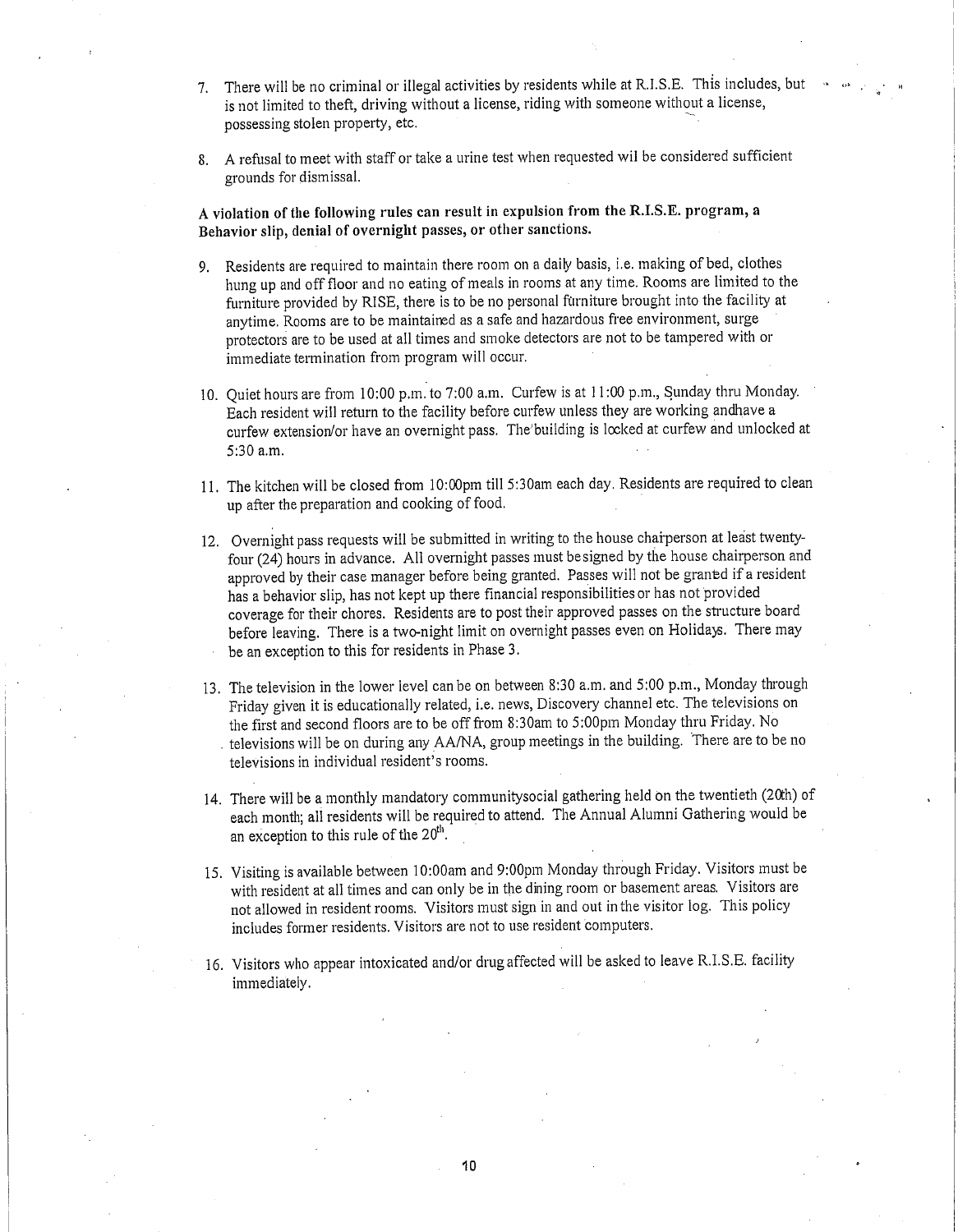- 7. There will be no criminal or illegal activities by residents while at R.I.S.E. This includes, but is not limited to theft, driving without a license, riding with someone without a license, possessing stolen property, etc.
- 8. A refusal to meet with staff or take a urine test when requested wil be considered sufficient grounds for dismissal.

**A violation of the following rules can result in expulsion from the R.I.S.E. program, a Behavior slip, denial** of **overnight passes, or** other sanctions.

- 9. Residents are required to maintain there room on a daily basis, i.e. making of bed, clothes hung up and off floor and no eating of meals in rooms at any time. Rooms are limited to the furniture provided by RISE, there is to be no personal furniture brought into the facility at anytime. Rooms are to be maintained as a safe and hazardous free environment, surge protectors are to be used at all times and smoke detectors are not to be tampered with or immediate termination from program will occur.
- 10. Quiet hours are from 10:00 p.m. to 7:00 a.m. Curfew is at 11:00 p.m., Sunday thru Monday. Each resident will return to the facility before curfew unless they are working andhave a curfew extension/or have an overnight pass. The'building is locked at curfew and unlocked at 5:30 a.m.
- 11. The kitchen will be closed from 10:00pm till 5:30am each day. Residents are required to clean up after the preparation and cooking of food.
- 12. Overnight pass requests will be submitted in writing to the house chaiperson at least twentyfour (24) hours in advance. All overnight passes must be signed by the house chairperson and approved by their case manager before being granted. Passes will not be granted if a resident has a behavior slip, has not kept up there financial responsibilities or has not provided coverage for their chores. Residents are to post their approved passes on the structure board before leaving. There is a two-night limit on overnight passes even on Holidays. There may be an exception to this for residents in Phase 3.
- 13. The television in the lower level can be on between 8:30 a.m. and 5:00 p.m., Monday through Friday given it is educationally related, i.e. news, Discovery channel etc. The televisions on the first and second floors are to be off from 8:30am to 5:00pm Monday thru Friday. No televisions will be on during any AA/NA, group meetings in the building. There are to be no televisions in individual resident's rooms.
- 14. There will be a monthly mandatory communitysocial gathering held on the twentieth (20th) of each month; all residents will be required to attend. The Annual Alumni Gathering would be an exception to this rule of the  $20<sup>th</sup>$ .
- 15. Visiting is available between 10:00am and 9:00pm Monday through Friday. Visitors must be with resident at all times and can only be in the dining room or basement areas. Visitors are not allowed in resident rooms. Visitors must sign in and out in the visitor log. This policy includes former residents. Visitors are not to use resident computers.
- 16. Visitors who appear intoxicated and/or drug affected will be asked to leave R.I.S.E. facility immediately.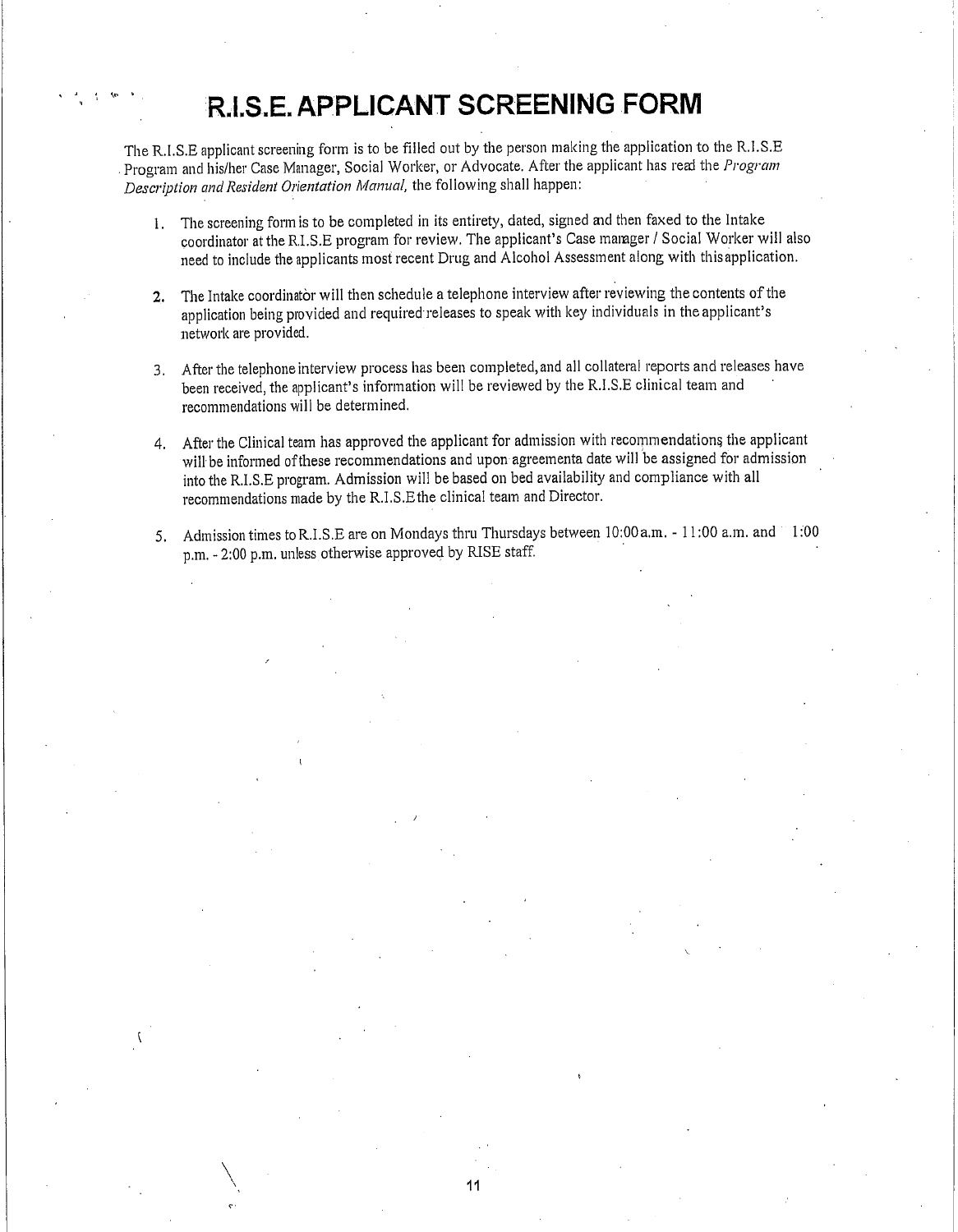# R.I.S..**E. APPLICANT SCREENING FORM**

lti

The R.I.S.E applicant screening form is to be filled out by the person making the application to the R.I.S.E Program and his/her Case Manager, Social Worker, or Advocate. After the applicant has real the *Program Description and Resident Orientation Manual,* the following shall happen:

- 1. The screening form is to be completed in its entirety, dated, signed and then faxed to the Intake coordinator at the RI.S.E program for review. The applicant's Case manger / Social Worker will also need to include the applicants most recent Drug and Alcohol Assessment along with this application.
- 2. The Intake coordinator will then schedule a telephone interview after reviewing the contents of the application being provided and required releases to speak with key individuals in the applicant's network are provided.
- 3. After the telephone interview process has been completed, and all collateral reports and releases have been received, the applicant's information will be reviewed by the R.I.S.E clinical team and recommendations will be determined.
- 4. After the Clinical team has approved the applicant for admission with recommendations the applicant will be informed of these recommendations and upon agreementa date will be assigned for admission into the R.I.S.E program. Admission will be based on bed availability and compliance with all recommendations made by the R.I.S.Ethe clinical team and Director.
- 5. Admission times to R.I.S.E are on Mondays thru Thursdays between 10:00 a.m. 11:00 a.m. and 1:00 p.m. - 2:00 p.m. unless otherwise approved by RISE staff.

11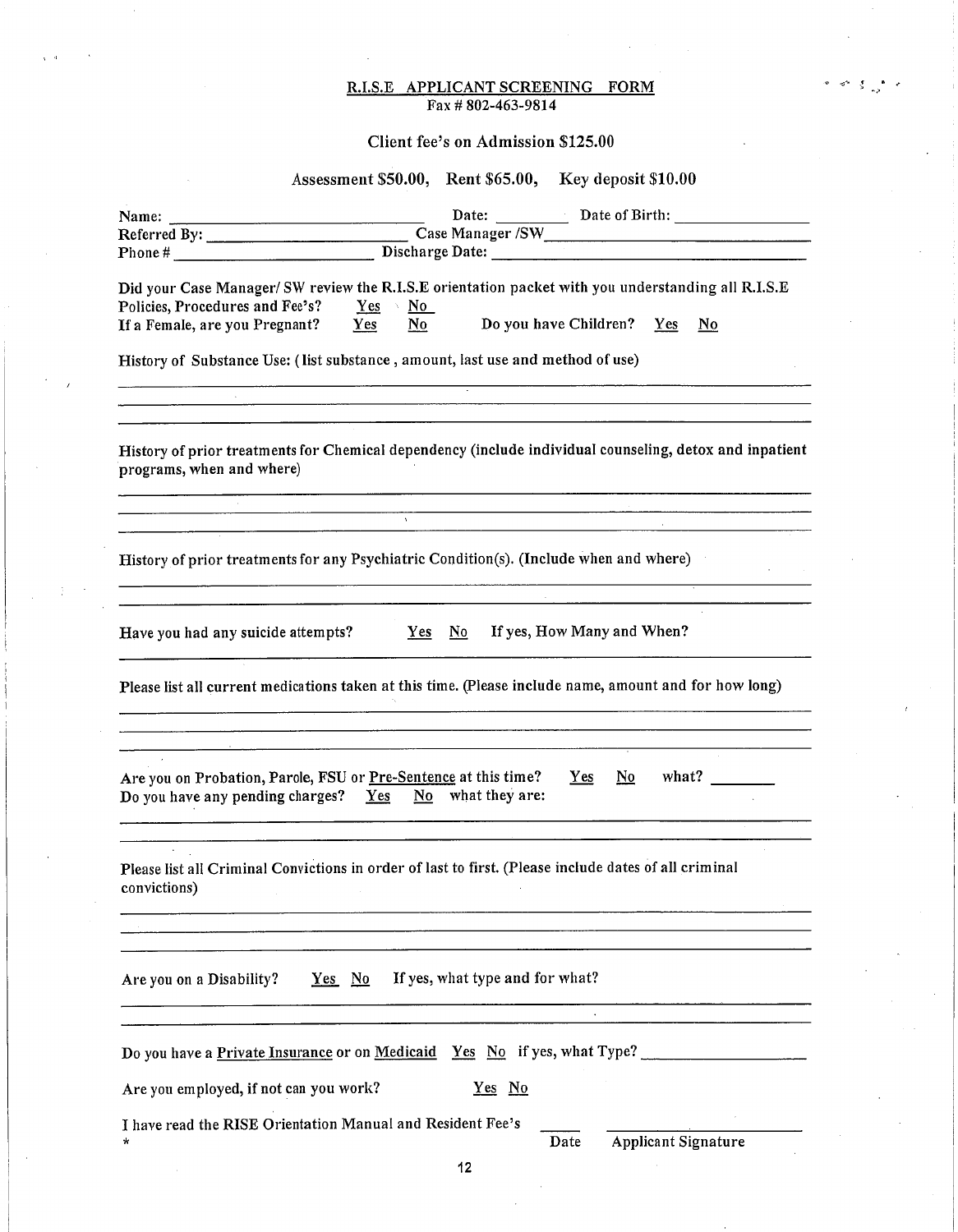#### R.I.S.E APPLICANT SCREENING FORM Fax # 802-463-9814

#### Client fee's on Admission \$125.00

#### Assessment \$50.00, Rent \$65.00, Key deposit \$10.00

| Phone # Discharge Date: Discharge Date:                                                                                                                                                                            |                                                     |                                                            |                               |                          |
|--------------------------------------------------------------------------------------------------------------------------------------------------------------------------------------------------------------------|-----------------------------------------------------|------------------------------------------------------------|-------------------------------|--------------------------|
| Did your Case Manager/ SW review the R.I.S.E orientation packet with you understanding all R.I.S.E<br>Policies, Procedures and Fee's?                                                                              | $Yes \t No$                                         |                                                            |                               |                          |
| If a Female, are you Pregnant?                                                                                                                                                                                     | $\mathbf{N}\mathbf{o}$<br>Yes                       |                                                            | Do you have Children? Yes     | $\underline{\mathbf{N}}$ |
| History of Substance Use: (list substance, amount, last use and method of use)                                                                                                                                     |                                                     |                                                            |                               |                          |
| History of prior treatments for Chemical dependency (include individual counseling, detox and inpatient<br>programs, when and where)                                                                               |                                                     |                                                            |                               |                          |
| <u>. A shekara ta 1989, a shekara ta 1989, a shekara ta 1989, a shekara ta 1989, a shekara ta 1989, a shekara ta 198</u><br>History of prior treatments for any Psychiatric Condition(s). (Include when and where) |                                                     | <u> 1980 - Jan James Barnett, fransk politik (d. 1980)</u> |                               |                          |
| Have you had any suicide attempts? $Yes$ No                                                                                                                                                                        | <u> 1980 - Johann Harry Communication (b. 1980)</u> |                                                            | If yes, How Many and When?    |                          |
| Please list all current medications taken at this time. (Please include name, amount and for how long)                                                                                                             |                                                     |                                                            |                               |                          |
| Are you on Probation, Parole, FSU or Pre-Sentence at this time?<br>Do you have any pending charges? Yes No what they are:                                                                                          |                                                     |                                                            | $\mathbf{N}\mathbf{o}$<br>Yes | what?                    |
| Please list all Criminal Convictions in order of last to first. (Please include dates of all criminal<br>convictions)                                                                                              |                                                     |                                                            |                               |                          |
|                                                                                                                                                                                                                    |                                                     |                                                            |                               |                          |
| Are you on a Disability?<br>$Yes$ No                                                                                                                                                                               |                                                     | If yes, what type and for what?                            |                               |                          |
| Do you have a Private Insurance or on Medicaid Yes No if yes, what Type?                                                                                                                                           |                                                     |                                                            |                               |                          |
| Are you employed, if not can you work?                                                                                                                                                                             |                                                     | Yes No                                                     |                               |                          |
| I have read the RISE Orientation Manual and Resident Fee's<br>*                                                                                                                                                    |                                                     | Date                                                       | <b>Applicant Signature</b>    |                          |